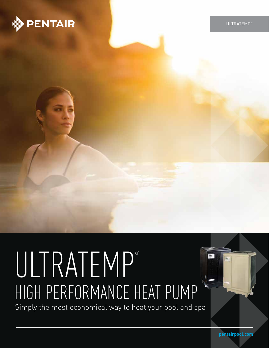

ULTRATEMP®

# ULTRATEMP® HIGH PERFORMANCE HEAT PUMP

Simply the most economical way to heat your pool and spa

**pentairpool.com**

5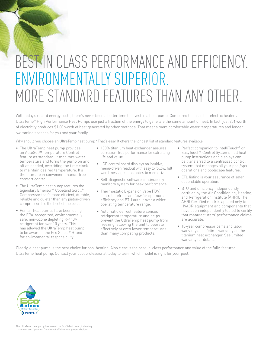## BEST IN CLASS PERFORMANCE AND EFFICIENCY. ENVIRONMENTALLY SUPERIOR. MORE STANDARD FEATURES THAN ANY OTHER.

With today's record energy costs, there's never been a better time to invest in a heat pump. Compared to gas, oil or electric heaters, UltraTemp® High Performance Heat Pumps use just a fraction of the energy to generate the same amount of heat. In fact, just 20¢ worth of electricity produces \$1.00 worth of heat generated by other methods. That means more comfortable water temperatures and longer swimming seasons for you and your family.

Why should you choose an UltraTemp heat pump? That's easy. It offers the longest list of standard features available.

- The UltraTemp heat pump provides an AutoSet™ Temperature Control feature as standard. It monitors water temperature and turns the pump on and off as needed, overriding the time clock to maintain desired temperature. It's the ultimate in convenient, hands-free comfort control.
- The UltraTemp heat pump features the legendary Emerson® Copeland Scroll® Compressor that's more efficient, durable, reliable and quieter than any piston-driven compressor. It's the best of the best.
- Pentair heat pumps have been using the EPA-recognized, environmentally safe, non-ozone depleting R-410A refrigerant for over 10 years. This has allowed the UltraTemp heat pump to be awarded the Eco Select® Brand for environmental responsibility.
- 100% titanium heat exchanger assures corrosion-free performance for extra long life and value.
- LCD control board displays an intuitive, menu-driven readout with easy to follow, full word messages—no codes to memorize.
- Self-diagnostic software continuously monitors system for peak performance.
- Thermostatic Expansion Valve (TXV) controls refrigerant flow for optimum efficiency and BTU output over a wider operating temperature range.
- Automatic defrost feature senses refrigerant temperature and helps prevent the UltraTemp heat pump from freezing, allowing the unit to operate effectively at even lower temperatures than many competing products.
- Perfect companion to IntelliTouch® or EasyTouch® Control Systems—all heat pump instructions and displays can be transferred to a centralized control system that manages all your pool/spa operations and poolscape features.
- ETL listing is your assurance of safer, dependable operation.
- BTU and efficiency independently certified by the Air Conditioning, Heating, and Refrigeration Institute (AHRI). The AHRI Certified mark is applied only to HVACR equipment and components that have been independently tested to certify that manufacturers' performance claims are accurate.
- 10-year compressor parts and labor warranty and lifetime warranty on the titanium heat exchanger. See limited warranty for details.

Clearly, a heat pump is the best choice for pool heating. Also clear is the best-in-class performance and value of the fully-featured UltraTemp heat pump. Contact your pool professional today to learn which model is right for your pool.

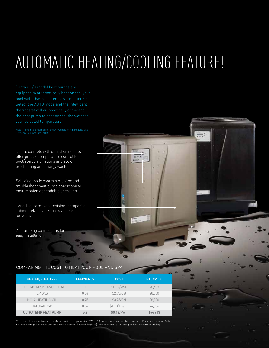# AUTOMATIC HEATING/COOLING FEATURE!

equipped to automatically heat or cool your pool water based on temperatures you set. Select the AUTO mode and the intelligent your selected temperature

Digital controls with dual thermostats offer precise temperature control for pool/spa combinations and avoid overheating and energy waste

Self-diagnostic controls monitor and troubleshoot heat pump operations to ensure safer, dependable operation

Long-life, corrosion-resistant composite cabinet retains a like-new appearance for years

2" plumbing connections for easy installation

### COMPARING THE COST TO HEAT YOUR POOL AND SPA

| <b>HEATER/FUEL TYPE</b>         | <b>EFFICIENCY</b> | <b>COST</b>  | BTU/\$1.00 |
|---------------------------------|-------------------|--------------|------------|
| <b>FLECTRIC RESISTANCE HEAT</b> |                   | \$0.12/kWh   | 28.433     |
| LP GAS                          | 0.84              | \$2.73/Gal   | 28,000     |
| NO. 2 HEATING OIL               | 0.75              | \$3.75/Gal   | 28,000     |
| NATURAL GAS                     | 0.84              | \$1.13/Therm | 74.336     |
| <b>ULTRATEMP HEAT PUMP</b>      | 5.8               | \$0.12/kWh   | 164.913    |

This chart illustrates how an UltraTemp heat pump generates 2.75 to 5.8 times more heat for the same cost. Costs are based on 2014 national average fuel costs and efficiencies (Source: Federal Register). Please consult your local provider for current pricing.